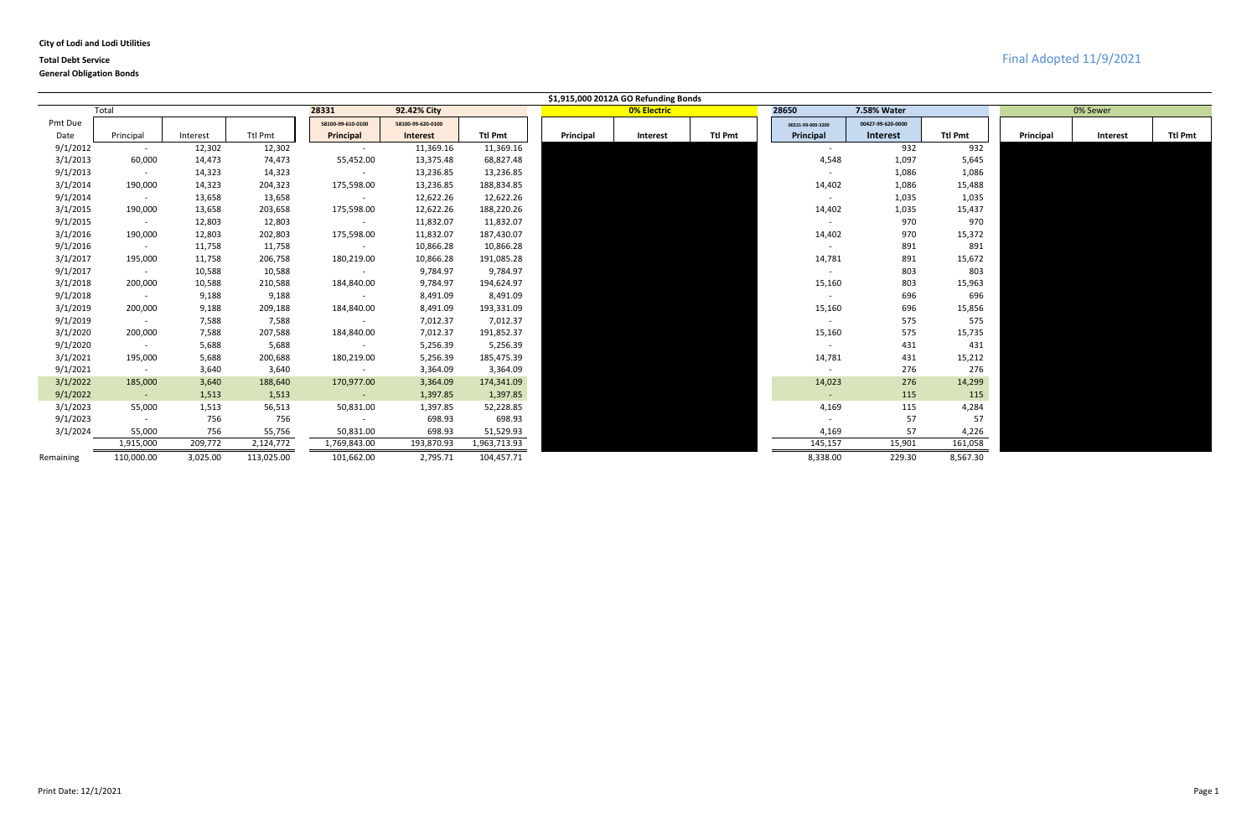### **City of Lodi and Lodi Utilities**

## **Total Debt Service** Final Adopted 11/9/2021

|           |                 |          |            |                   |                   |                |           | \$1,915,000 2012A GO Refunding Bonds |                |                          |                   |                |           |          |                |
|-----------|-----------------|----------|------------|-------------------|-------------------|----------------|-----------|--------------------------------------|----------------|--------------------------|-------------------|----------------|-----------|----------|----------------|
|           | Total           |          |            | 28331             | 92.42% City       |                |           | <b>0% Electric</b>                   |                | 28650                    | 7.58% Water       |                |           | 0% Sewer |                |
| Pmt Due   |                 |          |            | 58100-99-610-0100 | 58100-99-620-0100 |                |           |                                      |                | 00221-99-000-3200        | 00427-99-620-0000 |                |           |          |                |
| Date      | Principal       | Interest | Ttl Pmt    | Principal         | <b>Interest</b>   | <b>Ttl Pmt</b> | Principal | Interest                             | <b>Ttl Pmt</b> | Principal                | <b>Interest</b>   | <b>Ttl Pmt</b> | Principal | Interest | <b>Ttl Pmt</b> |
| 9/1/2012  | $\sim$          | 12,302   | 12,302     | $\sim$            | 11,369.16         | 11,369.16      |           |                                      |                | $\sim$                   | 932               | 932            |           |          |                |
| 3/1/2013  | 60,000          | 14,473   | 74,473     | 55,452.00         | 13,375.48         | 68,827.48      |           |                                      |                | 4,548                    | 1,097             | 5,645          |           |          |                |
| 9/1/2013  | $\sim$          | 14,323   | 14,323     |                   | 13,236.85         | 13,236.85      |           |                                      |                | $\overline{\phantom{a}}$ | 1,086             | 1,086          |           |          |                |
| 3/1/2014  | 190,000         | 14,323   | 204,323    | 175,598.00        | 13,236.85         | 188,834.85     |           |                                      |                | 14,402                   | 1,086             | 15,488         |           |          |                |
| 9/1/2014  | $\sim$          | 13,658   | 13,658     |                   | 12,622.26         | 12,622.26      |           |                                      |                | $\overline{\phantom{a}}$ | 1,035             | 1,035          |           |          |                |
| 3/1/2015  | 190,000         | 13,658   | 203,658    | 175,598.00        | 12,622.26         | 188,220.26     |           |                                      |                | 14,402                   | 1,035             | 15,437         |           |          |                |
| 9/1/2015  | $\sim$          | 12,803   | 12,803     | $\sim$ $-$        | 11,832.07         | 11,832.07      |           |                                      |                | $\sim$                   | 970               | 970            |           |          |                |
| 3/1/2016  | 190,000         | 12,803   | 202,803    | 175,598.00        | 11,832.07         | 187,430.07     |           |                                      |                | 14,402                   | 970               | 15,372         |           |          |                |
| 9/1/2016  | $\sim$          | 11,758   | 11,758     | $\sim$            | 10,866.28         | 10,866.28      |           |                                      |                | $\sim$                   | 891               | 891            |           |          |                |
| 3/1/2017  | 195,000         | 11,758   | 206,758    | 180,219.00        | 10,866.28         | 191,085.28     |           |                                      |                | 14,781                   | 891               | 15,672         |           |          |                |
| 9/1/2017  | $\sim$          | 10,588   | 10,588     | $\sim$ $-$        | 9,784.97          | 9,784.97       |           |                                      |                | $\sim$                   | 803               | 803            |           |          |                |
| 3/1/2018  | 200,000         | 10,588   | 210,588    | 184,840.00        | 9,784.97          | 194,624.97     |           |                                      |                | 15,160                   | 803               | 15,963         |           |          |                |
| 9/1/2018  | $\sim$          | 9,188    | 9,188      | $\sim$            | 8,491.09          | 8,491.09       |           |                                      |                | $\sim$                   | 696               | 696            |           |          |                |
| 3/1/2019  | 200,000         | 9,188    | 209,188    | 184,840.00        | 8,491.09          | 193,331.09     |           |                                      |                | 15,160                   | 696               | 15,856         |           |          |                |
| 9/1/2019  | $\sim$          | 7,588    | 7,588      | $\sim$ $-$        | 7,012.37          | 7,012.37       |           |                                      |                | $\sim$                   | 575               | 575            |           |          |                |
| 3/1/2020  | 200,000         | 7,588    | 207,588    | 184,840.00        | 7,012.37          | 191,852.37     |           |                                      |                | 15,160                   | 575               | 15,735         |           |          |                |
| 9/1/2020  | $\sim$          | 5,688    | 5,688      | $\sim$            | 5,256.39          | 5,256.39       |           |                                      |                | $\sim$                   | 431               | 431            |           |          |                |
| 3/1/2021  | 195,000         | 5,688    | 200,688    | 180,219.00        | 5,256.39          | 185,475.39     |           |                                      |                | 14,781                   | 431               | 15,212         |           |          |                |
| 9/1/2021  | $\sim$ $ \sim$  | 3,640    | 3,640      | $\sim$            | 3,364.09          | 3,364.09       |           |                                      |                | $\sim$                   | 276               | 276            |           |          |                |
| 3/1/2022  | 185,000         | 3,640    | 188,640    | 170,977.00        | 3,364.09          | 174,341.09     |           |                                      |                | 14,023                   | 276               | 14,299         |           |          |                |
| 9/1/2022  | $\sim$ 10 $\pm$ | 1,513    | 1,513      | $\sim$ $-$        | 1,397.85          | 1,397.85       |           |                                      |                | $\sim$                   | 115               | 115            |           |          |                |
| 3/1/2023  | 55,000          | 1,513    | 56,513     | 50,831.00         | 1,397.85          | 52,228.85      |           |                                      |                | 4,169                    | 115               | 4,284          |           |          |                |
| 9/1/2023  | $\sim$          | 756      | 756        | $\sim$            | 698.93            | 698.93         |           |                                      |                | $\sim$                   | 57                | 57             |           |          |                |
| 3/1/2024  | 55,000          | 756      | 55,756     | 50,831.00         | 698.93            | 51,529.93      |           |                                      |                | 4,169                    | 57                | 4,226          |           |          |                |
|           | 1,915,000       | 209,772  | 2,124,772  | 1,769,843.00      | 193,870.93        | 1,963,713.93   |           |                                      |                | 145,157                  | 15,901            | 161,058        |           |          |                |
| Remaining | 110,000.00      | 3,025.00 | 113,025.00 | 101,662.00        | 2,795.71          | 104,457.71     |           |                                      |                | 8,338.00                 | 229.30            | 8,567.30       |           |          |                |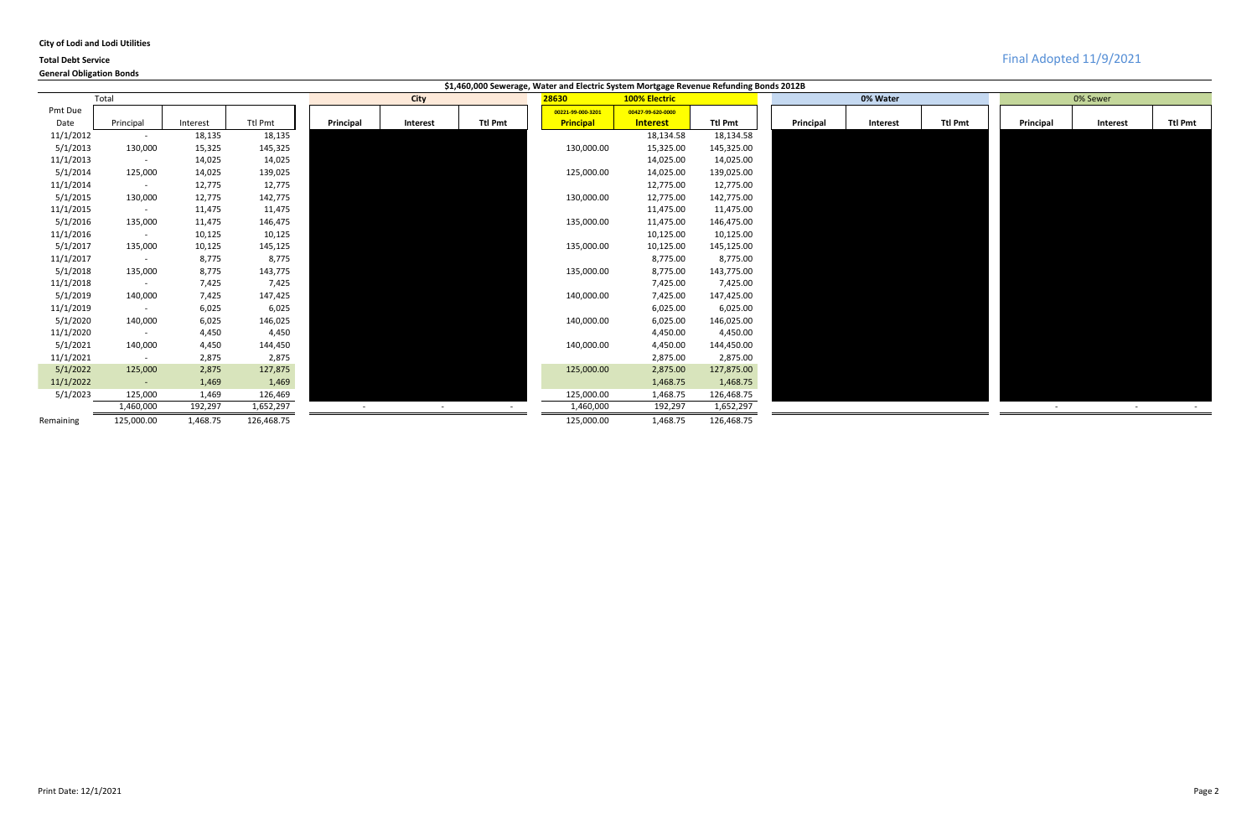|  |  |  |  | <b>City of Lodi and Lodi Utilities</b> |
|--|--|--|--|----------------------------------------|
|--|--|--|--|----------------------------------------|

|           |            |          |            |           |             |                | \$1,460,000 Sewerage, Water and Electric System Mortgage Revenue Refunding Bonds 2012B |                      |                |           |          |                |           |                 |                |
|-----------|------------|----------|------------|-----------|-------------|----------------|----------------------------------------------------------------------------------------|----------------------|----------------|-----------|----------|----------------|-----------|-----------------|----------------|
|           | Total      |          |            |           | <b>City</b> |                | 28630                                                                                  | <b>100% Electric</b> |                |           | 0% Water |                |           | 0% Sewer        |                |
| Pmt Due   |            |          |            |           |             |                | 00221-99-000-3201                                                                      | 00427-99-620-0000    |                |           |          |                |           |                 |                |
| Date      | Principal  | Interest | Ttl Pmt    | Principal | Interest    | <b>Ttl Pmt</b> | <b>Principal</b>                                                                       | <b>Interest</b>      | <b>Ttl Pmt</b> | Principal | Interest | <b>Ttl Pmt</b> | Principal | <b>Interest</b> | <b>Ttl Pmt</b> |
| 11/1/2012 | $\sim$     | 18,135   | 18,135     |           |             |                |                                                                                        | 18,134.58            | 18,134.58      |           |          |                |           |                 |                |
| 5/1/2013  | 130,000    | 15,325   | 145,325    |           |             |                | 130,000.00                                                                             | 15,325.00            | 145,325.00     |           |          |                |           |                 |                |
| 11/1/2013 | $\sim$     | 14,025   | 14,025     |           |             |                |                                                                                        | 14,025.00            | 14,025.00      |           |          |                |           |                 |                |
| 5/1/2014  | 125,000    | 14,025   | 139,025    |           |             |                | 125,000.00                                                                             | 14,025.00            | 139,025.00     |           |          |                |           |                 |                |
| 11/1/2014 | $\sim$     | 12,775   | 12,775     |           |             |                |                                                                                        | 12,775.00            | 12,775.00      |           |          |                |           |                 |                |
| 5/1/2015  | 130,000    | 12,775   | 142,775    |           |             |                | 130,000.00                                                                             | 12,775.00            | 142,775.00     |           |          |                |           |                 |                |
| 11/1/2015 | $\sim$     | 11,475   | 11,475     |           |             |                |                                                                                        | 11,475.00            | 11,475.00      |           |          |                |           |                 |                |
| 5/1/2016  | 135,000    | 11,475   | 146,475    |           |             |                | 135,000.00                                                                             | 11,475.00            | 146,475.00     |           |          |                |           |                 |                |
| 11/1/2016 | $\sim$     | 10,125   | 10,125     |           |             |                |                                                                                        | 10,125.00            | 10,125.00      |           |          |                |           |                 |                |
| 5/1/2017  | 135,000    | 10,125   | 145,125    |           |             |                | 135,000.00                                                                             | 10,125.00            | 145,125.00     |           |          |                |           |                 |                |
| 11/1/2017 | $\sim$     | 8,775    | 8,775      |           |             |                |                                                                                        | 8,775.00             | 8,775.00       |           |          |                |           |                 |                |
| 5/1/2018  | 135,000    | 8,775    | 143,775    |           |             |                | 135,000.00                                                                             | 8,775.00             | 143,775.00     |           |          |                |           |                 |                |
| 11/1/2018 | $\sim$     | 7,425    | 7,425      |           |             |                |                                                                                        | 7,425.00             | 7,425.00       |           |          |                |           |                 |                |
| 5/1/2019  | 140,000    | 7,425    | 147,425    |           |             |                | 140,000.00                                                                             | 7,425.00             | 147,425.00     |           |          |                |           |                 |                |
| 11/1/2019 | $\sim$     | 6,025    | 6,025      |           |             |                |                                                                                        | 6,025.00             | 6,025.00       |           |          |                |           |                 |                |
| 5/1/2020  | 140,000    | 6,025    | 146,025    |           |             |                | 140,000.00                                                                             | 6,025.00             | 146,025.00     |           |          |                |           |                 |                |
| 11/1/2020 | $\sim$     | 4,450    | 4,450      |           |             |                |                                                                                        | 4,450.00             | 4,450.00       |           |          |                |           |                 |                |
| 5/1/2021  | 140,000    | 4,450    | 144,450    |           |             |                | 140,000.00                                                                             | 4,450.00             | 144,450.00     |           |          |                |           |                 |                |
| 11/1/2021 | $\sim$ $-$ | 2,875    | 2,875      |           |             |                |                                                                                        | 2,875.00             | 2,875.00       |           |          |                |           |                 |                |
| 5/1/2022  | 125,000    | 2,875    | 127,875    |           |             |                | 125,000.00                                                                             | 2,875.00             | 127,875.00     |           |          |                |           |                 |                |
| 11/1/2022 | $\sim$     | 1,469    | 1,469      |           |             |                |                                                                                        | 1,468.75             | 1,468.75       |           |          |                |           |                 |                |
| 5/1/2023  | 125,000    | 1,469    | 126,469    |           |             |                | 125,000.00                                                                             | 1,468.75             | 126,468.75     |           |          |                |           |                 |                |
|           | 1,460,000  | 192,297  | 1,652,297  |           | $\sim$      | $\sim$         | 1,460,000                                                                              | 192,297              | 1,652,297      |           |          |                | $\sim$    | $\sim$          |                |
| Remaining | 125,000.00 | 1,468.75 | 126,468.75 |           |             |                | 125,000.00                                                                             | 1,468.75             | 126,468.75     |           |          |                |           |                 |                |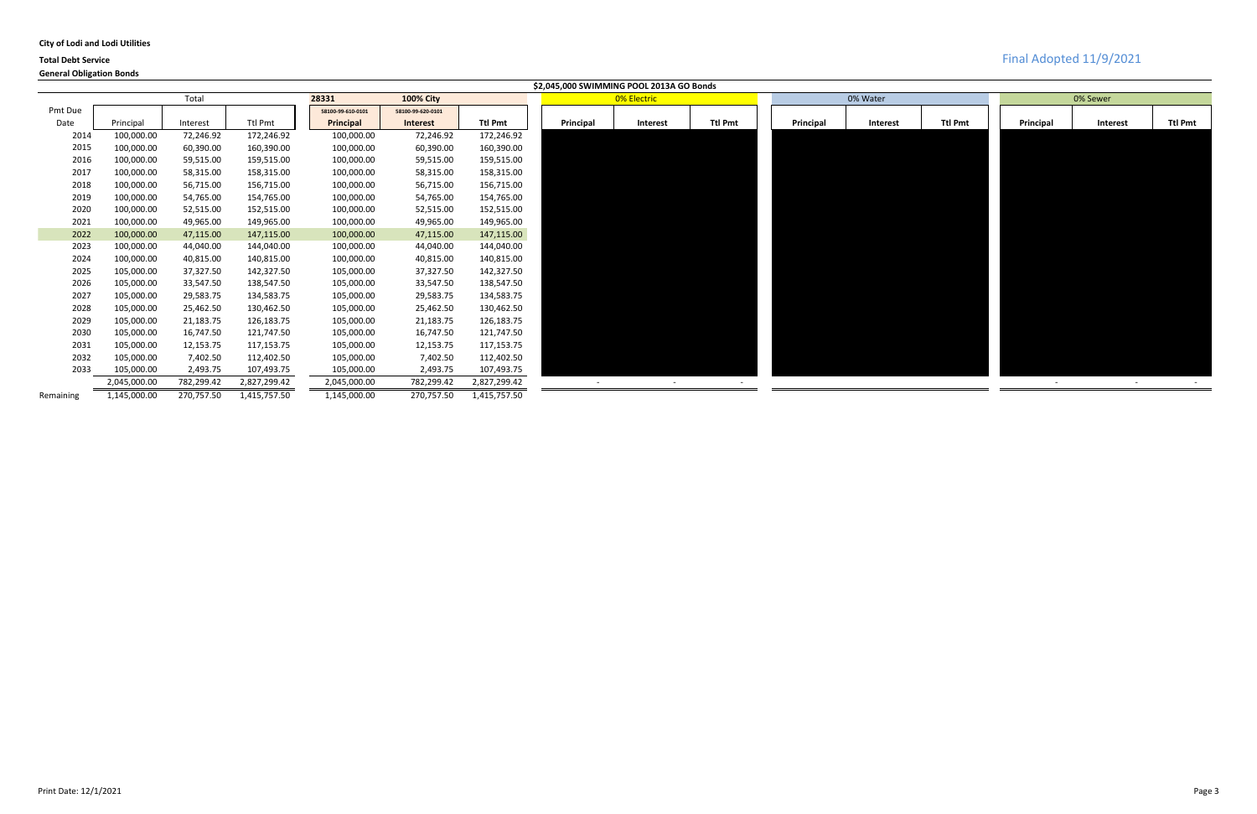|  |  |  |  | <b>City of Lodi and Lodi Utilities</b> |
|--|--|--|--|----------------------------------------|
|--|--|--|--|----------------------------------------|



|           |              |            |                |                   |                   |                | \$2,045,000 SWIMMING POOL 2013A GO Bonds |                          |                |           |                 |                |           |                 |                |
|-----------|--------------|------------|----------------|-------------------|-------------------|----------------|------------------------------------------|--------------------------|----------------|-----------|-----------------|----------------|-----------|-----------------|----------------|
|           |              | Total      |                | 28331             | <b>100% City</b>  |                |                                          | 0% Electric              |                |           | 0% Water        |                |           | 0% Sewer        |                |
| Pmt Due   |              |            |                | 58100-99-610-0101 | 58100-99-620-0101 |                |                                          |                          |                |           |                 |                |           |                 |                |
| Date      | Principal    | Interest   | <b>Ttl Pmt</b> | Principal         | <b>Interest</b>   | <b>Ttl Pmt</b> | Principal                                | <b>Interest</b>          | <b>Ttl Pmt</b> | Principal | <b>Interest</b> | <b>Ttl Pmt</b> | Principal | <b>Interest</b> | <b>Ttl Pmt</b> |
| 2014      | 100,000.00   | 72,246.92  | 172,246.92     | 100,000.00        | 72,246.92         | 172,246.92     |                                          |                          |                |           |                 |                |           |                 |                |
| 2015      | 100,000.00   | 60,390.00  | 160,390.00     | 100,000.00        | 60,390.00         | 160,390.00     |                                          |                          |                |           |                 |                |           |                 |                |
| 2016      | 100,000.00   | 59,515.00  | 159,515.00     | 100,000.00        | 59,515.00         | 159,515.00     |                                          |                          |                |           |                 |                |           |                 |                |
| 2017      | 100,000.00   | 58,315.00  | 158,315.00     | 100,000.00        | 58,315.00         | 158,315.00     |                                          |                          |                |           |                 |                |           |                 |                |
| 2018      | 100,000.00   | 56,715.00  | 156,715.00     | 100,000.00        | 56,715.00         | 156,715.00     |                                          |                          |                |           |                 |                |           |                 |                |
| 2019      | 100,000.00   | 54,765.00  | 154,765.00     | 100,000.00        | 54,765.00         | 154,765.00     |                                          |                          |                |           |                 |                |           |                 |                |
| 2020      | 100,000.00   | 52,515.00  | 152,515.00     | 100,000.00        | 52,515.00         | 152,515.00     |                                          |                          |                |           |                 |                |           |                 |                |
| 2021      | 100,000.00   | 49,965.00  | 149,965.00     | 100,000.00        | 49,965.00         | 149,965.00     |                                          |                          |                |           |                 |                |           |                 |                |
| 2022      | 100,000.00   | 47,115.00  | 147,115.00     | 100,000.00        | 47,115.00         | 147,115.00     |                                          |                          |                |           |                 |                |           |                 |                |
| 2023      | 100,000.00   | 44,040.00  | 144,040.00     | 100,000.00        | 44,040.00         | 144,040.00     |                                          |                          |                |           |                 |                |           |                 |                |
| 2024      | 100,000.00   | 40,815.00  | 140,815.00     | 100,000.00        | 40,815.00         | 140,815.00     |                                          |                          |                |           |                 |                |           |                 |                |
| 2025      | 105,000.00   | 37,327.50  | 142,327.50     | 105,000.00        | 37,327.50         | 142,327.50     |                                          |                          |                |           |                 |                |           |                 |                |
| 2026      | 105,000.00   | 33,547.50  | 138,547.50     | 105,000.00        | 33,547.50         | 138,547.50     |                                          |                          |                |           |                 |                |           |                 |                |
| 2027      | 105,000.00   | 29,583.75  | 134,583.75     | 105,000.00        | 29,583.75         | 134,583.75     |                                          |                          |                |           |                 |                |           |                 |                |
| 2028      | 105,000.00   | 25,462.50  | 130,462.50     | 105,000.00        | 25,462.50         | 130,462.50     |                                          |                          |                |           |                 |                |           |                 |                |
| 2029      | 105,000.00   | 21,183.75  | 126,183.75     | 105,000.00        | 21,183.75         | 126,183.75     |                                          |                          |                |           |                 |                |           |                 |                |
| 2030      | 105,000.00   | 16,747.50  | 121,747.50     | 105,000.00        | 16,747.50         | 121,747.50     |                                          |                          |                |           |                 |                |           |                 |                |
| 2031      | 105,000.00   | 12,153.75  | 117,153.75     | 105,000.00        | 12,153.75         | 117,153.75     |                                          |                          |                |           |                 |                |           |                 |                |
| 2032      | 105,000.00   | 7,402.50   | 112,402.50     | 105,000.00        | 7,402.50          | 112,402.50     |                                          |                          |                |           |                 |                |           |                 |                |
| 2033      | 105,000.00   | 2,493.75   | 107,493.75     | 105,000.00        | 2,493.75          | 107,493.75     |                                          |                          |                |           |                 |                |           |                 |                |
|           | 2,045,000.00 | 782,299.42 | 2,827,299.42   | 2,045,000.00      | 782,299.42        | 2,827,299.42   |                                          | $\overline{\phantom{0}}$ |                |           |                 |                | $\sim$    | $\sim$          |                |
| Remaining | 1,145,000.00 | 270,757.50 | 1,415,757.50   | 1,145,000.00      | 270,757.50        | 1,415,757.50   |                                          |                          |                |           |                 |                |           |                 |                |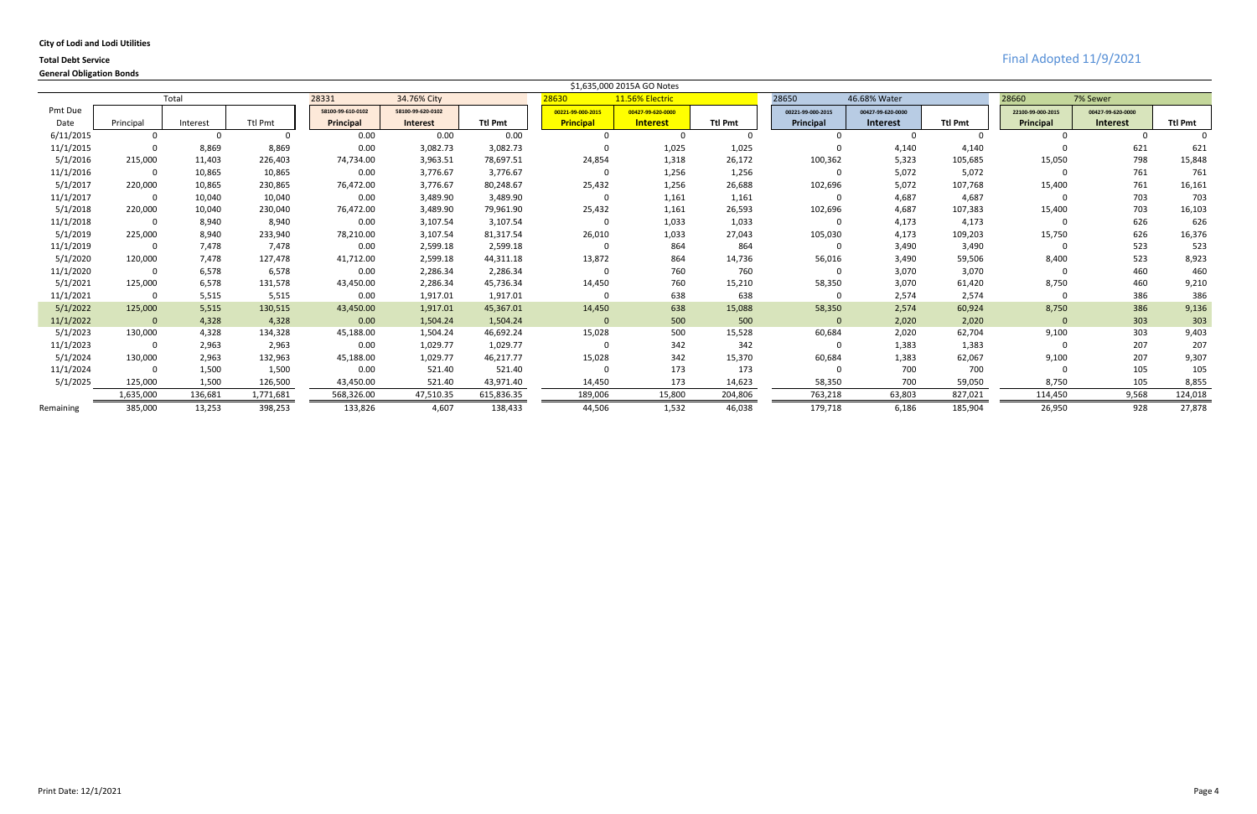|  |  |  |  | <b>City of Lodi and Lodi Utilities</b> |
|--|--|--|--|----------------------------------------|
|--|--|--|--|----------------------------------------|

|           |              |          |                |                   |                   |                |                   | \$1,635,000 2015A GO Notes |                |                   |                   |                |                   |                   |                |
|-----------|--------------|----------|----------------|-------------------|-------------------|----------------|-------------------|----------------------------|----------------|-------------------|-------------------|----------------|-------------------|-------------------|----------------|
|           |              | Total    |                | 28331             | 34.76% City       |                | 28630             | 11.56% Electric            |                | 28650             | 46.68% Water      |                | 28660             | 7% Sewer          |                |
| Pmt Due   |              |          |                | 58100-99-610-0102 | 58100-99-620-0102 |                | 00221-99-000-2015 | 00427-99-620-0000          |                | 00221-99-000-2015 | 00427-99-620-0000 |                | 22100-99-000-2015 | 00427-99-620-0000 |                |
| Date      | Principal    | Interest | <b>Ttl Pmt</b> | Principal         | <b>Interest</b>   | <b>Ttl Pmt</b> | <b>Principal</b>  | <b>Interest</b>            | <b>Ttl Pmt</b> | <b>Principal</b>  | <b>Interest</b>   | <b>Ttl Pmt</b> | Principal         | <b>Interest</b>   | <b>Ttl Pmt</b> |
| 6/11/2015 | $\Omega$     |          |                | 0.00              | 0.00              | 0.00           |                   |                            | $\Omega$       |                   |                   |                |                   |                   |                |
| 11/1/2015 | 0            | 8,869    | 8,869          | 0.00              | 3,082.73          | 3,082.73       |                   | 1,025                      | 1,025          |                   | 4,140             | 4,140          |                   | 621               | 621            |
| 5/1/2016  | 215,000      | 11,403   | 226,403        | 74,734.00         | 3,963.51          | 78,697.51      | 24,854            | 1,318                      | 26,172         | 100,362           | 5,323             | 105,685        | 15,050            | 798               | 15,848         |
| 11/1/2016 | 0            | 10,865   | 10,865         | 0.00              | 3,776.67          | 3,776.67       | $\Omega$          | 1,256                      | 1,256          | -0                | 5,072             | 5,072          |                   | 761               | 761            |
| 5/1/2017  | 220,000      | 10,865   | 230,865        | 76,472.00         | 3,776.67          | 80,248.67      | 25,432            | 1,256                      | 26,688         | 102,696           | 5,072             | 107,768        | 15,400            | 761               | 16,161         |
| 11/1/2017 | 0            | 10,040   | 10,040         | 0.00              | 3,489.90          | 3,489.90       | $\Omega$          | 1,161                      | 1,161          |                   | 4,687             | 4,687          |                   | 703               | 703            |
| 5/1/2018  | 220,000      | 10,040   | 230,040        | 76,472.00         | 3,489.90          | 79,961.90      | 25,432            | 1,161                      | 26,593         | 102,696           | 4,687             | 107,383        | 15,400            | 703               | 16,103         |
| 11/1/2018 | 0            | 8,940    | 8,940          | 0.00              | 3,107.54          | 3,107.54       | $\Omega$          | 1,033                      | 1,033          |                   | 4,173             | 4,173          |                   | 626               | 626            |
| 5/1/2019  | 225,000      | 8,940    | 233,940        | 78,210.00         | 3,107.54          | 81,317.54      | 26,010            | 1,033                      | 27,043         | 105,030           | 4,173             | 109,203        | 15,750            | 626               | 16,376         |
| 11/1/2019 | 0            | 7,478    | 7,478          | 0.00              | 2,599.18          | 2,599.18       |                   | 864                        | 864            |                   | 3,490             | 3,490          |                   | 523               | 523            |
| 5/1/2020  | 120,000      | 7,478    | 127,478        | 41,712.00         | 2,599.18          | 44,311.18      | 13,872            | 864                        | 14,736         | 56,016            | 3,490             | 59,506         | 8,400             | 523               | 8,923          |
| 11/1/2020 | 0            | 6,578    | 6,578          | 0.00              | 2,286.34          | 2,286.34       | $\Omega$          | 760                        | 760            | - 0               | 3,070             | 3,070          |                   | 460               | 460            |
| 5/1/2021  | 125,000      | 6,578    | 131,578        | 43,450.00         | 2,286.34          | 45,736.34      | 14,450            | 760                        | 15,210         | 58,350            | 3,070             | 61,420         | 8,750             | 460               | 9,210          |
| 11/1/2021 | 0            | 5,515    | 5,515          | 0.00              | 1,917.01          | 1,917.01       | $\Omega$          | 638                        | 638            | $\Omega$          | 2,574             | 2,574          | $\Omega$          | 386               | 386            |
| 5/1/2022  | 125,000      | 5,515    | 130,515        | 43,450.00         | 1,917.01          | 45,367.01      | 14,450            | 638                        | 15,088         | 58,350            | 2,574             | 60,924         | 8,750             | 386               | 9,136          |
| 11/1/2022 | $\mathbf{0}$ | 4,328    | 4,328          | 0.00              | 1,504.24          | 1,504.24       | $\mathbf{0}$      | 500                        | 500            | $\Omega$          | 2,020             | 2,020          | $\mathbf{0}$      | 303               | 303            |
| 5/1/2023  | 130,000      | 4,328    | 134,328        | 45,188.00         | 1,504.24          | 46,692.24      | 15,028            | 500                        | 15,528         | 60,684            | 2,020             | 62,704         | 9,100             | 303               | 9,403          |
| 11/1/2023 | 0            | 2,963    | 2,963          | 0.00              | 1,029.77          | 1,029.77       | $\Omega$          | 342                        | 342            | $\Omega$          | 1,383             | 1,383          |                   | 207               | 207            |
| 5/1/2024  | 130,000      | 2,963    | 132,963        | 45,188.00         | 1,029.77          | 46,217.77      | 15,028            | 342                        | 15,370         | 60,684            | 1,383             | 62,067         | 9,100             | 207               | 9,307          |
| 11/1/2024 | 0            | 1,500    | 1,500          | 0.00              | 521.40            | 521.40         | $\Omega$          | 173                        | 173            |                   | 700               | 700            |                   | 105               | 105            |
| 5/1/2025  | 125,000      | 1,500    | 126,500        | 43,450.00         | 521.40            | 43,971.40      | 14,450            | 173                        | 14,623         | 58,350            | 700               | 59,050         | 8,750             | 105               | 8,855          |
|           | 1,635,000    | 136,681  | 1,771,681      | 568,326.00        | 47,510.35         | 615,836.35     | 189,006           | 15,800                     | 204,806        | 763,218           | 63,803            | 827,021        | 114,450           | 9,568             | 124,018        |
| Remaining | 385,000      | 13,253   | 398,253        | 133,826           | 4,607             | 138,433        | 44,506            | 1,532                      | 46,038         | 179,718           | 6,186             | 185,904        | 26,950            | 928               | 27,878         |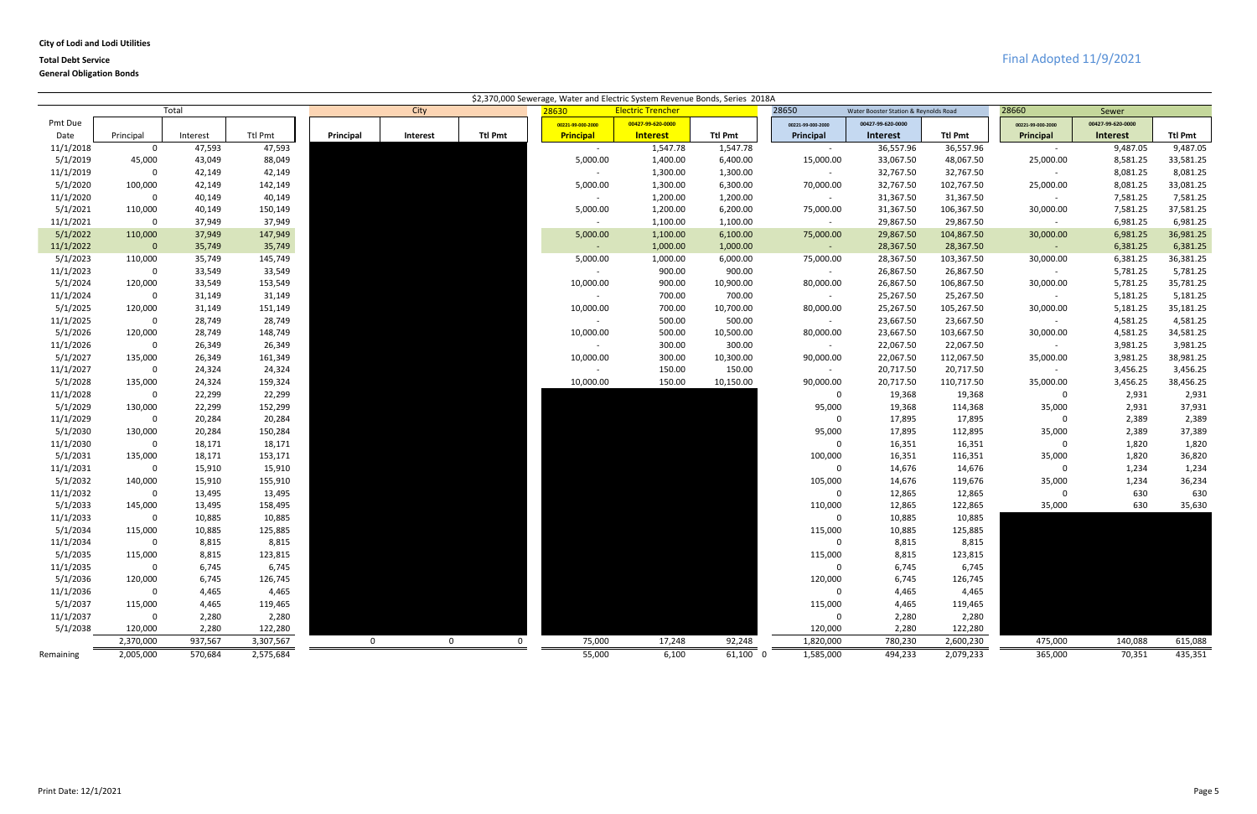| <b>City of Lodi and Lodi Utilities</b> |  |  |  |
|----------------------------------------|--|--|--|
|----------------------------------------|--|--|--|

|                       |                        |                  |                   |              |                |                |                   | \$2,370,000 Sewerage, Water and Electric System Revenue Bonds, Series 2018A |                |                       |                                       |                      |                          |                      |                       |
|-----------------------|------------------------|------------------|-------------------|--------------|----------------|----------------|-------------------|-----------------------------------------------------------------------------|----------------|-----------------------|---------------------------------------|----------------------|--------------------------|----------------------|-----------------------|
|                       |                        | Total            |                   |              | City           |                | 28630             | <b>Electric Trencher</b>                                                    |                | 28650                 | Water Booster Station & Reynolds Road |                      | 28660                    | Sewer                |                       |
| Pmt Due               |                        |                  |                   |              |                |                | 00221-99-000-2000 | 00427-99-620-0000                                                           |                | 00221-99-000-2000     | 00427-99-620-0000                     |                      | 00221-99-000-2000        | 00427-99-620-0000    |                       |
| Date                  | Principal              | Interest         | Ttl Pmt           | Principal    | Interest       | <b>Ttl Pmt</b> | <b>Principal</b>  | <b>Interest</b>                                                             | <b>Ttl Pmt</b> | Principal             | <b>Interest</b>                       | <b>Ttl Pmt</b>       | Principal                | <b>Interest</b>      | <b>Ttl Pmt</b>        |
| 11/1/2018             | $\mathbf 0$            | 47,593           | 47,593            |              |                |                | $\sim$            | 1,547.78                                                                    | 1,547.78       | $\sim$                | 36,557.96                             | 36,557.96            | $\sim$                   | 9,487.05             | 9,487.05              |
| 5/1/2019              | 45,000                 | 43,049           | 88,049            |              |                |                | 5,000.00          | 1,400.00                                                                    | 6,400.00       | 15,000.00             | 33,067.50                             | 48,067.50            | 25,000.00                | 8,581.25             | 33,581.25             |
| 11/1/2019             | $\mathbf 0$            | 42,149           | 42,149            |              |                |                | $\sim$            | 1,300.00                                                                    | 1,300.00       | $\sim$                | 32,767.50                             | 32,767.50            | $\sim$                   | 8,081.25             | 8,081.25              |
| 5/1/2020              | 100,000                | 42,149           | 142,149           |              |                |                | 5,000.00          | 1,300.00                                                                    | 6,300.00       | 70,000.00             | 32,767.50                             | 102,767.50           | 25,000.00                | 8,081.25             | 33,081.25             |
| 11/1/2020             | $\mathbf 0$            | 40,149           | 40,149            |              |                |                | $\sim$            | 1,200.00                                                                    | 1,200.00       | $\sim$ $-$            | 31,367.50                             | 31,367.50            | $\sim$                   | 7,581.25             | 7,581.25              |
| 5/1/2021              | 110,000                | 40,149           | 150,149           |              |                |                | 5,000.00          | 1,200.00                                                                    | 6,200.00       | 75,000.00             | 31,367.50                             | 106,367.50           | 30,000.00                | 7,581.25             | 37,581.25             |
| 11/1/2021             | $\mathbf 0$            | 37,949           | 37,949            |              |                |                | $\sim$            | 1,100.00                                                                    | 1,100.00       | $\sim$ $ \sim$        | 29,867.50                             | 29,867.50            | $\sim$ $-$               | 6,981.25             | 6,981.25              |
| 5/1/2022              | 110,000                | 37,949           | 147,949           |              |                |                | 5,000.00          | 1,100.00                                                                    | 6,100.00       | 75,000.00             | 29,867.50                             | 104,867.50           | 30,000.00                | 6,981.25             | 36,981.25             |
| 11/1/2022             | $\mathbf{0}$           | 35,749           | 35,749            |              |                |                | $\sim$ $ \sim$    | 1,000.00                                                                    | 1,000.00       | $\sim 10^{-1}$        | 28,367.50                             | 28,367.50            | $\sim$ $ \sim$           | 6,381.25             | 6,381.25              |
| 5/1/2023              | 110,000                | 35,749           | 145,749           |              |                |                | 5,000.00          | 1,000.00                                                                    | 6,000.00       | 75,000.00             | 28,367.50                             | 103,367.50           | 30,000.00                | 6,381.25             | 36,381.25             |
| 11/1/2023             | $\mathbf 0$            | 33,549           | 33,549            |              |                |                | $\sim$            | 900.00                                                                      | 900.00         | $\sim$ $-$            | 26,867.50                             | 26,867.50            | $\sim$                   | 5,781.25             | 5,781.25              |
| 5/1/2024              | 120,000                | 33,549           | 153,549           |              |                |                | 10,000.00         | 900.00                                                                      | 10,900.00      | 80,000.00             | 26,867.50                             | 106,867.50           | 30,000.00                | 5,781.25             | 35,781.25             |
| 11/1/2024             | $\mathbf 0$            | 31,149           | 31,149            |              |                |                | $\sim$            | 700.00                                                                      | 700.00         | $\sim$ $-$            | 25,267.50                             | 25,267.50            | $\sim$                   | 5,181.25             | 5,181.25              |
| 5/1/2025              | 120,000                | 31,149           | 151,149           |              |                |                | 10,000.00         | 700.00                                                                      | 10,700.00      | 80,000.00             | 25,267.50                             | 105,267.50           | 30,000.00                | 5,181.25             | 35,181.25             |
| 11/1/2025             | $\mathbf 0$            | 28,749           | 28,749            |              |                |                | $\sim$            | 500.00                                                                      | 500.00         | $\sim$ $-$            | 23,667.50                             | 23,667.50            | $\sim$                   | 4,581.25             | 4,581.25              |
| 5/1/2026              | 120,000                | 28,749           | 148,749           |              |                |                | 10,000.00         | 500.00                                                                      | 10,500.00      | 80,000.00             | 23,667.50                             | 103,667.50           | 30,000.00                | 4,581.25             | 34,581.25             |
| 11/1/2026             | $\mathbf 0$            | 26,349           | 26,349            |              |                |                | $\sim$            | 300.00                                                                      | 300.00         | $\sim$                | 22,067.50                             | 22,067.50            | $\sim$                   | 3,981.25             | 3,981.25              |
| 5/1/2027<br>11/1/2027 | 135,000<br>$\mathbf 0$ | 26,349           | 161,349<br>24,324 |              |                |                | 10,000.00         | 300.00                                                                      | 10,300.00      | 90,000.00             | 22,067.50                             | 112,067.50           | 35,000.00                | 3,981.25<br>3,456.25 | 38,981.25<br>3,456.25 |
| 5/1/2028              |                        | 24,324           |                   |              |                |                | $\sim$            | 150.00                                                                      | 150.00         | $\sim$                | 20,717.50                             | 20,717.50            | $\sim$                   |                      |                       |
| 11/1/2028             | 135,000<br>$\mathbf 0$ | 24,324<br>22,299 | 159,324<br>22,299 |              |                |                | 10,000.00         | 150.00                                                                      | 10,150.00      | 90,000.00<br>$\Omega$ | 20,717.50<br>19,368                   | 110,717.50<br>19,368 | 35,000.00<br>$\mathbf 0$ | 3,456.25<br>2,931    | 38,456.25<br>2,931    |
| 5/1/2029              | 130,000                | 22,299           | 152,299           |              |                |                |                   |                                                                             |                | 95,000                | 19,368                                | 114,368              | 35,000                   | 2,931                | 37,931                |
| 11/1/2029             | $\mathbf 0$            | 20,284           | 20,284            |              |                |                |                   |                                                                             |                | $\Omega$              | 17,895                                | 17,895               | $\mathbf 0$              | 2,389                | 2,389                 |
| 5/1/2030              | 130,000                | 20,284           | 150,284           |              |                |                |                   |                                                                             |                | 95,000                | 17,895                                | 112,895              | 35,000                   | 2,389                | 37,389                |
| 11/1/2030             | $\mathbf 0$            | 18,171           | 18,171            |              |                |                |                   |                                                                             |                | $\Omega$              | 16,351                                | 16,351               | $\mathbf 0$              | 1,820                | 1,820                 |
| 5/1/2031              | 135,000                | 18,171           | 153,171           |              |                |                |                   |                                                                             |                | 100,000               | 16,351                                | 116,351              | 35,000                   | 1,820                | 36,820                |
| 11/1/2031             | $\mathbf 0$            | 15,910           | 15,910            |              |                |                |                   |                                                                             |                |                       | 14,676                                | 14,676               | 0                        | 1,234                | 1,234                 |
| 5/1/2032              | 140,000                | 15,910           | 155,910           |              |                |                |                   |                                                                             |                | 105,000               | 14,676                                | 119,676              | 35,000                   | 1,234                | 36,234                |
| 11/1/2032             | $\mathbf 0$            | 13,495           | 13,495            |              |                |                |                   |                                                                             |                |                       | 12,865                                | 12,865               | 0                        | 630                  | 630                   |
| 5/1/2033              | 145,000                | 13,495           | 158,495           |              |                |                |                   |                                                                             |                | 110,000               | 12,865                                | 122,865              | 35,000                   | 630                  | 35,630                |
| 11/1/2033             | $\mathbf 0$            | 10,885           | 10,885            |              |                |                |                   |                                                                             |                |                       | 10,885                                | 10,885               |                          |                      |                       |
| 5/1/2034              | 115,000                | 10,885           | 125,885           |              |                |                |                   |                                                                             |                | 115,000               | 10,885                                | 125,885              |                          |                      |                       |
| 11/1/2034             | $\mathbf 0$            | 8,815            | 8,815             |              |                |                |                   |                                                                             |                |                       | 8,815                                 | 8,815                |                          |                      |                       |
| 5/1/2035              | 115,000                | 8,815            | 123,815           |              |                |                |                   |                                                                             |                | 115,000               | 8,815                                 | 123,815              |                          |                      |                       |
| 11/1/2035             | $\mathbf 0$            | 6,745            | 6,745             |              |                |                |                   |                                                                             |                |                       | 6,745                                 | 6,745                |                          |                      |                       |
| 5/1/2036              | 120,000                | 6,745            | 126,745           |              |                |                |                   |                                                                             |                | 120,000               | 6,745                                 | 126,745              |                          |                      |                       |
| 11/1/2036             | 0                      | 4,465            | 4,465             |              |                |                |                   |                                                                             |                | 0                     | 4,465                                 | 4,465                |                          |                      |                       |
| 5/1/2037              | 115,000                | 4,465            | 119,465           |              |                |                |                   |                                                                             |                | 115,000               | 4,465                                 | 119,465              |                          |                      |                       |
| 11/1/2037             | 0                      | 2,280            | 2,280             |              |                |                |                   |                                                                             |                | - 0                   | 2,280                                 | 2,280                |                          |                      |                       |
| 5/1/2038              | 120,000                | 2,280            | 122,280           |              |                |                |                   |                                                                             |                | 120,000               | 2,280                                 | 122,280              |                          |                      |                       |
|                       | 2,370,000              | 937,567          | 3,307,567         | $\mathbf{0}$ | $\overline{0}$ | $\overline{0}$ | 75,000            | 17,248                                                                      | 92,248         | 1,820,000             | 780,230                               | 2,600,230            | 475,000                  | 140,088              | 615,088               |
| Remaining             | 2,005,000              | 570,684          | 2,575,684         |              |                |                | 55,000            | 6,100                                                                       | 61,100 0       | 1,585,000             | 494,233                               | 2,079,233            | 365,000                  | 70,351               | 435,351               |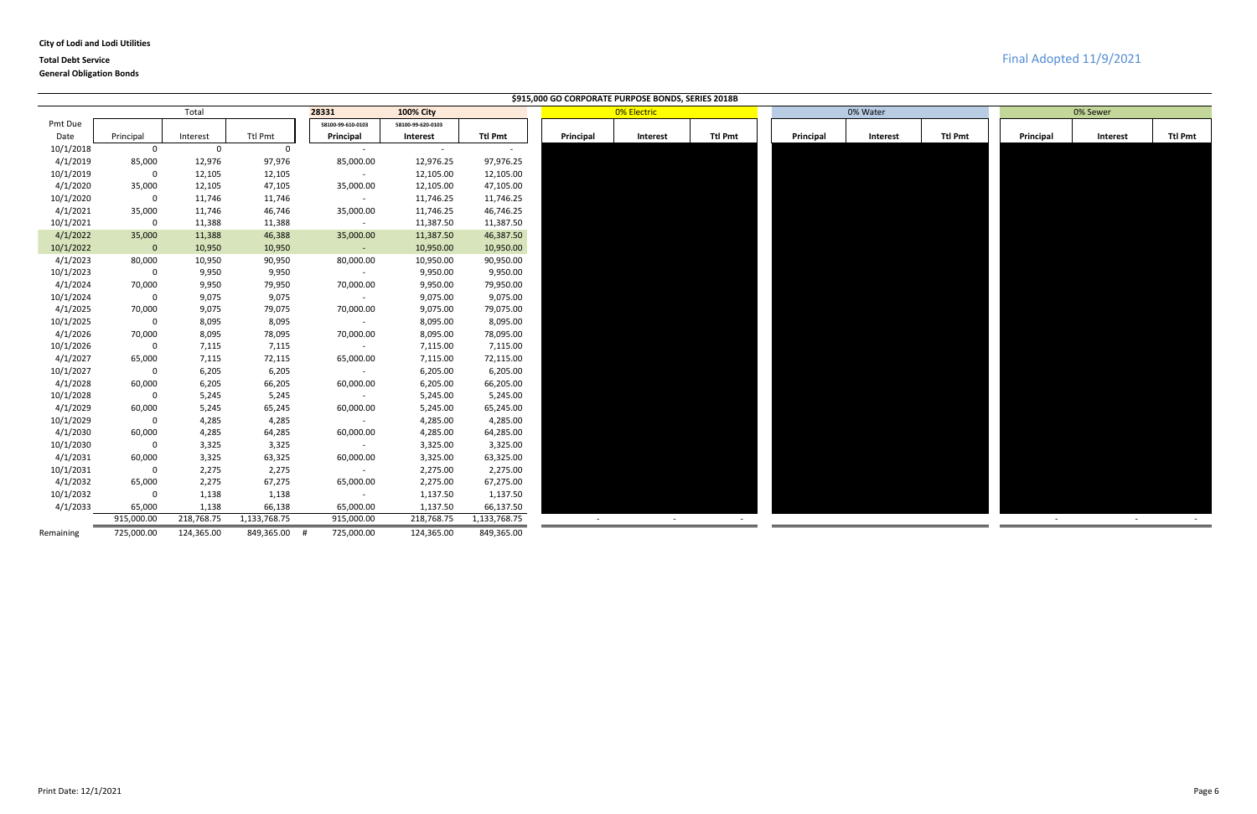### **City of Lodi and Lodi Utilities**

# **Total Debt Service** Final Adopted 11/9/2021

|           |              |             |              |                   |                   |              |           | \$915,000 GO CORPORATE PURPOSE BONDS, SERIES 2018B |                |           |          |                |            |                 |                      |
|-----------|--------------|-------------|--------------|-------------------|-------------------|--------------|-----------|----------------------------------------------------|----------------|-----------|----------|----------------|------------|-----------------|----------------------|
|           |              | Total       |              | 28331             | <b>100% City</b>  |              |           | 0% Electric                                        |                |           | 0% Water |                |            | 0% Sewer        |                      |
| Pmt Due   |              |             |              | 58100-99-610-0103 | 58100-99-620-0103 |              |           |                                                    |                |           |          |                |            |                 |                      |
| Date      | Principal    | Interest    | Ttl Pmt      | Principal         | Interest          | Ttl Pmt      | Principal | <b>Interest</b>                                    | <b>Ttl Pmt</b> | Principal | Interest | <b>Ttl Pmt</b> | Principal  | <b>Interest</b> | <b>Ttl Pmt</b>       |
| 10/1/2018 | 0            | $\mathbf 0$ | $\mathsf{O}$ |                   | $\sim$            | $\sim$       |           |                                                    |                |           |          |                |            |                 |                      |
| 4/1/2019  | 85,000       | 12,976      | 97,976       | 85,000.00         | 12,976.25         | 97,976.25    |           |                                                    |                |           |          |                |            |                 |                      |
| 10/1/2019 | 0            | 12,105      | 12,105       | $\sim$ $-$        | 12,105.00         | 12,105.00    |           |                                                    |                |           |          |                |            |                 |                      |
| 4/1/2020  | 35,000       | 12,105      | 47,105       | 35,000.00         | 12,105.00         | 47,105.00    |           |                                                    |                |           |          |                |            |                 |                      |
| 10/1/2020 | $\mathbf 0$  | 11,746      | 11,746       | $\sim$            | 11,746.25         | 11,746.25    |           |                                                    |                |           |          |                |            |                 |                      |
| 4/1/2021  | 35,000       | 11,746      | 46,746       | 35,000.00         | 11,746.25         | 46,746.25    |           |                                                    |                |           |          |                |            |                 |                      |
| 10/1/2021 | $\mathbf{0}$ | 11,388      | 11,388       | $\sim$            | 11,387.50         | 11,387.50    |           |                                                    |                |           |          |                |            |                 |                      |
| 4/1/2022  | 35,000       | 11,388      | 46,388       | 35,000.00         | 11,387.50         | 46,387.50    |           |                                                    |                |           |          |                |            |                 |                      |
| 10/1/2022 | $\mathbf{0}$ | 10,950      | 10,950       | $\sim$ 10 $\pm$   | 10,950.00         | 10,950.00    |           |                                                    |                |           |          |                |            |                 |                      |
| 4/1/2023  | 80,000       | 10,950      | 90,950       | 80,000.00         | 10,950.00         | 90,950.00    |           |                                                    |                |           |          |                |            |                 |                      |
| 10/1/2023 | 0            | 9,950       | 9,950        | $\sim$            | 9,950.00          | 9,950.00     |           |                                                    |                |           |          |                |            |                 |                      |
| 4/1/2024  | 70,000       | 9,950       | 79,950       | 70,000.00         | 9,950.00          | 79,950.00    |           |                                                    |                |           |          |                |            |                 |                      |
| 10/1/2024 | $\mathbf 0$  | 9,075       | 9,075        | $\sim$            | 9,075.00          | 9,075.00     |           |                                                    |                |           |          |                |            |                 |                      |
| 4/1/2025  | 70,000       | 9,075       | 79,075       | 70,000.00         | 9,075.00          | 79,075.00    |           |                                                    |                |           |          |                |            |                 |                      |
| 10/1/2025 | $\mathbf 0$  | 8,095       | 8,095        | $\sim$            | 8,095.00          | 8,095.00     |           |                                                    |                |           |          |                |            |                 |                      |
| 4/1/2026  | 70,000       | 8,095       | 78,095       | 70,000.00         | 8,095.00          | 78,095.00    |           |                                                    |                |           |          |                |            |                 |                      |
| 10/1/2026 | 0            | 7,115       | 7,115        | $\sim$            | 7,115.00          | 7,115.00     |           |                                                    |                |           |          |                |            |                 |                      |
| 4/1/2027  | 65,000       | 7,115       | 72,115       | 65,000.00         | 7,115.00          | 72,115.00    |           |                                                    |                |           |          |                |            |                 |                      |
| 10/1/2027 | $\mathbf 0$  | 6,205       | 6,205        | $\sim$            | 6,205.00          | 6,205.00     |           |                                                    |                |           |          |                |            |                 |                      |
| 4/1/2028  | 60,000       | 6,205       | 66,205       | 60,000.00         | 6,205.00          | 66,205.00    |           |                                                    |                |           |          |                |            |                 |                      |
| 10/1/2028 | $\mathbf 0$  | 5,245       | 5,245        | $\sim$            | 5,245.00          | 5,245.00     |           |                                                    |                |           |          |                |            |                 |                      |
| 4/1/2029  | 60,000       | 5,245       | 65,245       | 60,000.00         | 5,245.00          | 65,245.00    |           |                                                    |                |           |          |                |            |                 |                      |
| 10/1/2029 | $\mathbf 0$  | 4,285       | 4,285        | $\sim$ $-$        | 4,285.00          | 4,285.00     |           |                                                    |                |           |          |                |            |                 |                      |
| 4/1/2030  | 60,000       | 4,285       | 64,285       | 60,000.00         | 4,285.00          | 64,285.00    |           |                                                    |                |           |          |                |            |                 |                      |
| 10/1/2030 | $\mathbf{0}$ | 3,325       | 3,325        |                   | 3,325.00          | 3,325.00     |           |                                                    |                |           |          |                |            |                 |                      |
| 4/1/2031  | 60,000       | 3,325       | 63,325       | 60,000.00         | 3,325.00          | 63,325.00    |           |                                                    |                |           |          |                |            |                 |                      |
| 10/1/2031 | 0            | 2,275       | 2,275        |                   | 2,275.00          | 2,275.00     |           |                                                    |                |           |          |                |            |                 |                      |
| 4/1/2032  | 65,000       | 2,275       | 67,275       | 65,000.00         | 2,275.00          | 67,275.00    |           |                                                    |                |           |          |                |            |                 |                      |
| 10/1/2032 | $\mathbf 0$  | 1,138       | 1,138        | $\sim$ $-$        | 1,137.50          | 1,137.50     |           |                                                    |                |           |          |                |            |                 |                      |
| 4/1/2033  | 65,000       | 1,138       | 66,138       | 65,000.00         | 1,137.50          | 66,137.50    |           |                                                    |                |           |          |                |            |                 |                      |
|           | 915,000.00   | 218,768.75  | 1,133,768.75 | 915,000.00        | 218,768.75        | 1,133,768.75 | $\sim$    | $\sim$                                             | $\sim$         |           |          |                | $\sim$ $-$ | $\sim$ $-$      | $\sim 100$ m $^{-1}$ |
| Remaining | 725,000.00   | 124,365.00  | 849,365.00   | 725,000.00        | 124,365.00        | 849,365.00   |           |                                                    |                |           |          |                |            |                 |                      |